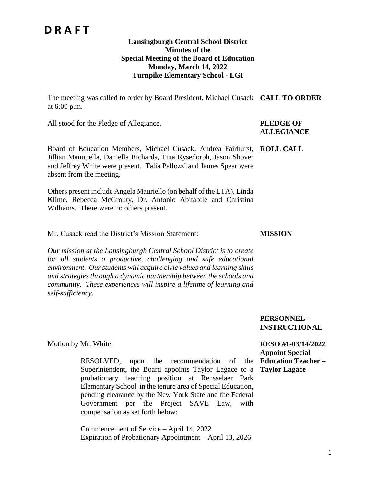# **D R A F T**

#### **Lansingburgh Central School District Minutes of the Special Meeting of the Board of Education Monday, March 14, 2022 Turnpike Elementary School - LGI**

The meeting was called to order by Board President, Michael Cusack **CALL TO ORDER** at 6:00 p.m.

All stood for the Pledge of Allegiance. **PLEDGE OF** 

# **ALLEGIANCE**

**MISSION**

Board of Education Members, Michael Cusack, Andrea Fairhurst, **ROLL CALL** Jillian Manupella, Daniella Richards, Tina Rysedorph, Jason Shover and Jeffrey White were present. Talia Pallozzi and James Spear were absent from the meeting.

Others present include Angela Mauriello (on behalf of the LTA), Linda Klime, Rebecca McGrouty, Dr. Antonio Abitabile and Christina Williams. There were no others present.

Mr. Cusack read the District's Mission Statement:

*Our mission at the Lansingburgh Central School District is to create for all students a productive, challenging and safe educational environment. Our students will acquire civic values and learning skills and strategies through a dynamic partnership between the schools and community. These experiences will inspire a lifetime of learning and self-sufficiency.*

> **PERSONNEL – INSTRUCTIONAL**

Motion by Mr. White:

RESOLVED, upon the recommendation of the **Education Teacher –** Superintendent, the Board appoints Taylor Lagace to a probationary teaching position at Rensselaer Park Elementary School in the tenure area of Special Education, pending clearance by the New York State and the Federal Government per the Project SAVE Law, with compensation as set forth below:

Commencement of Service – April 14, 2022 Expiration of Probationary Appointment – April 13, 2026

### **RESO #1-03/14/2022 Appoint Special Taylor Lagace**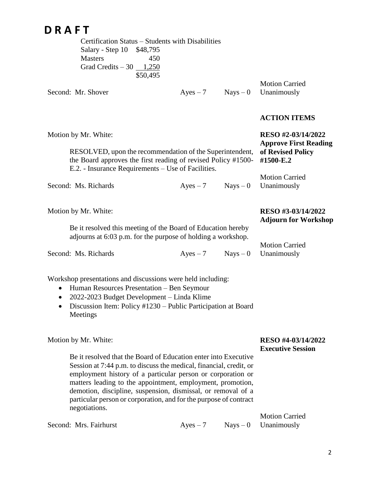# **D R A F T**

|                           | Certification Status – Students with Disabilities |  |
|---------------------------|---------------------------------------------------|--|
| Salary - Step 10 \$48,795 |                                                   |  |
| <b>Masters</b>            | 450                                               |  |
| Grad Credits $-30$ 1,250  |                                                   |  |
|                           | \$50,495                                          |  |

Second: Mr. Shover  $Ayes - 7$  Nays – 0

Motion Carried Unanimously

#### **ACTION ITEMS**

| Motion by Mr. White:<br>RESOLVED, upon the recommendation of the Superintendent,<br>the Board approves the first reading of revised Policy #1500-<br>E.2. - Insurance Requirements – Use of Facilities. | RESO #2-03/14/2022<br><b>Approve First Reading</b><br>of Revised Policy<br>#1500-E.2 |            |                                                   |
|---------------------------------------------------------------------------------------------------------------------------------------------------------------------------------------------------------|--------------------------------------------------------------------------------------|------------|---------------------------------------------------|
| Second: Ms. Richards                                                                                                                                                                                    | $Ayes - 7$                                                                           |            | <b>Motion Carried</b><br>$Nays - 0$ Unanimously   |
| Motion by Mr. White:                                                                                                                                                                                    |                                                                                      |            | RESO #3-03/14/2022<br><b>Adjourn for Workshop</b> |
| Be it resolved this meeting of the Board of Education hereby<br>adjourns at 6:03 p.m. for the purpose of holding a workshop.                                                                            |                                                                                      |            |                                                   |
|                                                                                                                                                                                                         |                                                                                      |            | <b>Motion Carried</b>                             |
| Second: Ms. Richards                                                                                                                                                                                    | $Ayes - 7$                                                                           | $Nays - 0$ | Unanimously                                       |

Workshop presentations and discussions were held including:

- Human Resources Presentation Ben Seymour
- 2022-2023 Budget Development Linda Klime
- Discussion Item: Policy #1230 Public Participation at Board Meetings

Motion by Mr. White:

### **RESO #4-03/14/2022 Executive Session**

Be it resolved that the Board of Education enter into Executive Session at 7:44 p.m. to discuss the medical, financial, credit, or employment history of a particular person or corporation or matters leading to the appointment, employment, promotion, demotion, discipline, suspension, dismissal, or removal of a particular person or corporation, and for the purpose of contract negotiations.

Second: Mrs. Fairhurst  $Ayes - 7$  Nays – 0 Motion Carried Unanimously

2